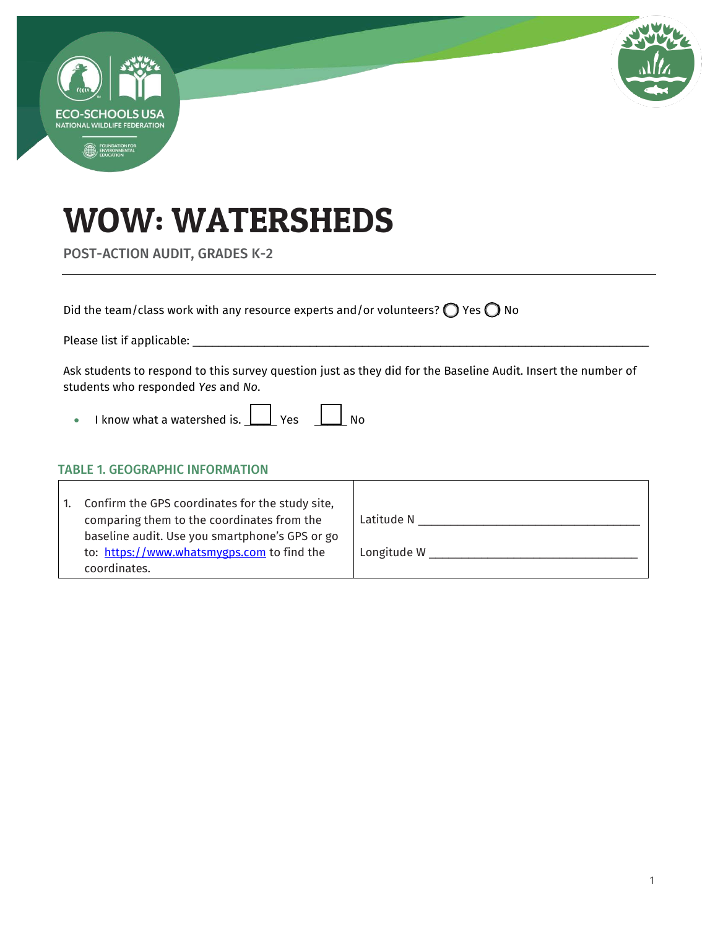

# WOW: WATERSHEDS

POST-ACTION AUDIT, GRADES K-2

Did the team/class work with any resource experts and/or volunteers?  $\bigcirc$  Yes  $\bigcirc$  No

Please list if applicable: \_\_\_\_\_\_\_\_\_\_\_\_\_\_\_\_\_\_\_\_\_\_\_\_\_\_\_\_\_\_\_\_\_\_\_\_\_\_\_\_\_\_\_\_\_\_\_\_\_\_\_\_\_\_\_\_\_\_\_\_\_\_\_\_\_\_\_\_\_\_

Ask students to respond to this survey question just as they did for the Baseline Audit. Insert the number of students who responded *Yes* and *No*.

 $\bullet$  I know what a watershed is.  $\boxed{\phantom{1}}$  Yes  $\phantom{1}\boxed{\phantom{1}}$  No

#### TABLE 1. GEOGRAPHIC INFORMATION

| 1. | Confirm the GPS coordinates for the study site,<br>comparing them to the coordinates from the<br>baseline audit. Use you smartphone's GPS or go<br>to: https://www.whatsmygps.com to find the<br>coordinates. | Latitude N<br>Longitude W |
|----|---------------------------------------------------------------------------------------------------------------------------------------------------------------------------------------------------------------|---------------------------|
|    |                                                                                                                                                                                                               |                           |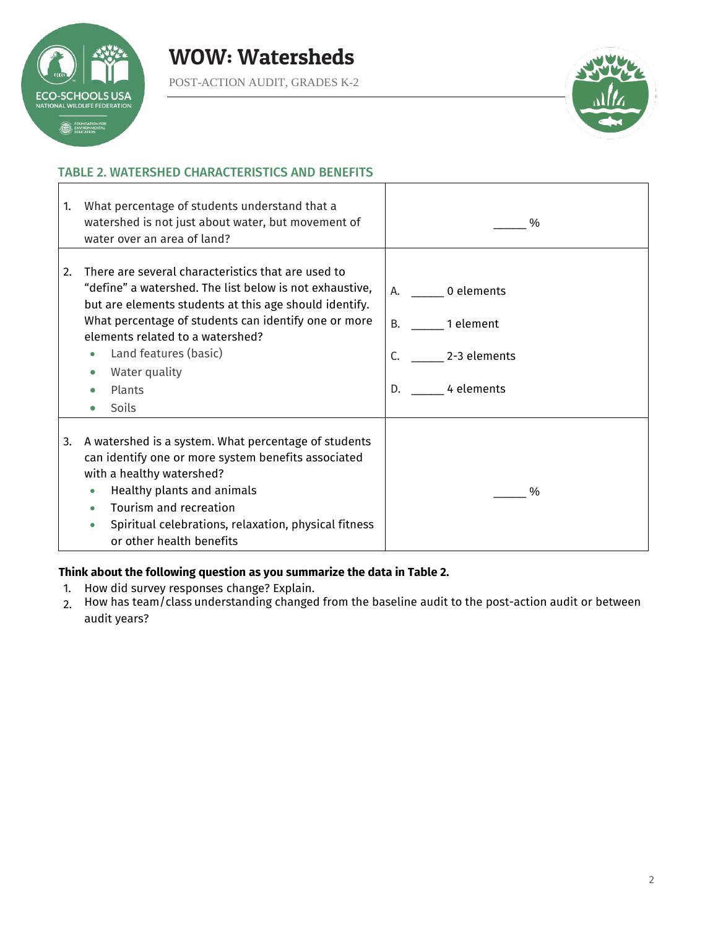





#### TABLE 2. WATERSHED CHARACTERISTICS AND BENEFITS

| 1. | What percentage of students understand that a<br>watershed is not just about water, but movement of<br>water over an area of land?                                                                                                                                                                                                      | $\%$                                                                              |
|----|-----------------------------------------------------------------------------------------------------------------------------------------------------------------------------------------------------------------------------------------------------------------------------------------------------------------------------------------|-----------------------------------------------------------------------------------|
| 2. | There are several characteristics that are used to<br>"define" a watershed. The list below is not exhaustive,<br>but are elements students at this age should identify.<br>What percentage of students can identify one or more<br>elements related to a watershed?<br>Land features (basic)<br>Water quality<br>Plants<br><b>Soils</b> | A. 0 elements<br>1 element<br><b>B.</b><br>C.<br>2-3 elements<br>4 elements<br>D. |
| 3. | A watershed is a system. What percentage of students<br>can identify one or more system benefits associated<br>with a healthy watershed?<br>Healthy plants and animals<br>$\bullet$<br>Tourism and recreation<br>Spiritual celebrations, relaxation, physical fitness<br>or other health benefits                                       | $\%$                                                                              |

#### **Think about the following question as you summarize the data in Table 2.**

- 1. How did survey responses change? Explain.
- 2. How has team/class understanding changed from the baseline audit to the post-action audit or between audit years?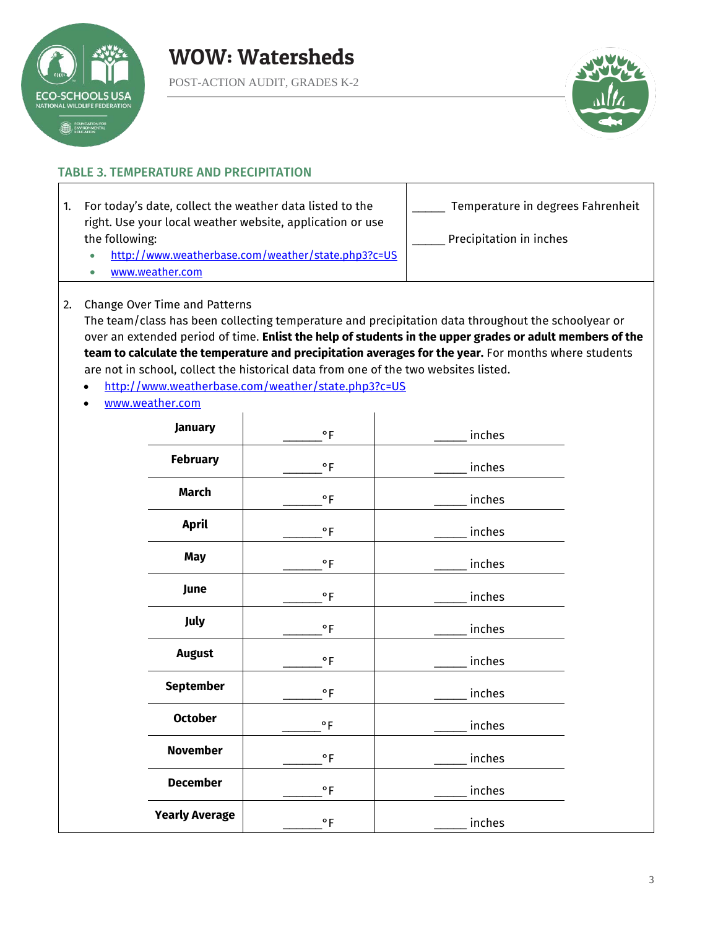



#### TABLE 3. TEMPERATURE AND PRECIPITATION

1. For today's date, collect the weather data listed to the right. Use your local weather website, application or use the following:

| Temperature in degrees Fahrenheit |  |
|-----------------------------------|--|
|                                   |  |

- <http://www.weatherbase.com/weather/state.php3?c=US>
- [www.weather.com](http://www.weather.com/)

Precipitation in inches

2. Change Over Time and Patterns

The team/class has been collecting temperature and precipitation data throughout the schoolyear or over an extended period of time. **Enlist the help of students in the upper grades or adult members of the team to calculate the temperature and precipitation averages for the year.** For months where students are not in school, collect the historical data from one of the two websites listed.

- <http://www.weatherbase.com/weather/state.php3?c=US>
- [www.weather.com](http://www.weather.com/)

| January               | $^{\circ}$ F | inches |
|-----------------------|--------------|--------|
| <b>February</b>       | $^{\circ}$ F | inches |
| March                 | ۰F           | inches |
| <b>April</b>          | $\circ$ F    | inches |
| <b>May</b>            | $\circ$ F    | inches |
| June                  | $\circ$ F    | inches |
| July                  | $\circ$ F    | inches |
| <b>August</b>         | $\circ$ F    | inches |
| <b>September</b>      | $\circ$ F    | inches |
| <b>October</b>        | $\circ$ F    | inches |
| <b>November</b>       | $\circ$ F    | inches |
| <b>December</b>       | ۰F           | inches |
| <b>Yearly Average</b> | $\circ$ F    | inches |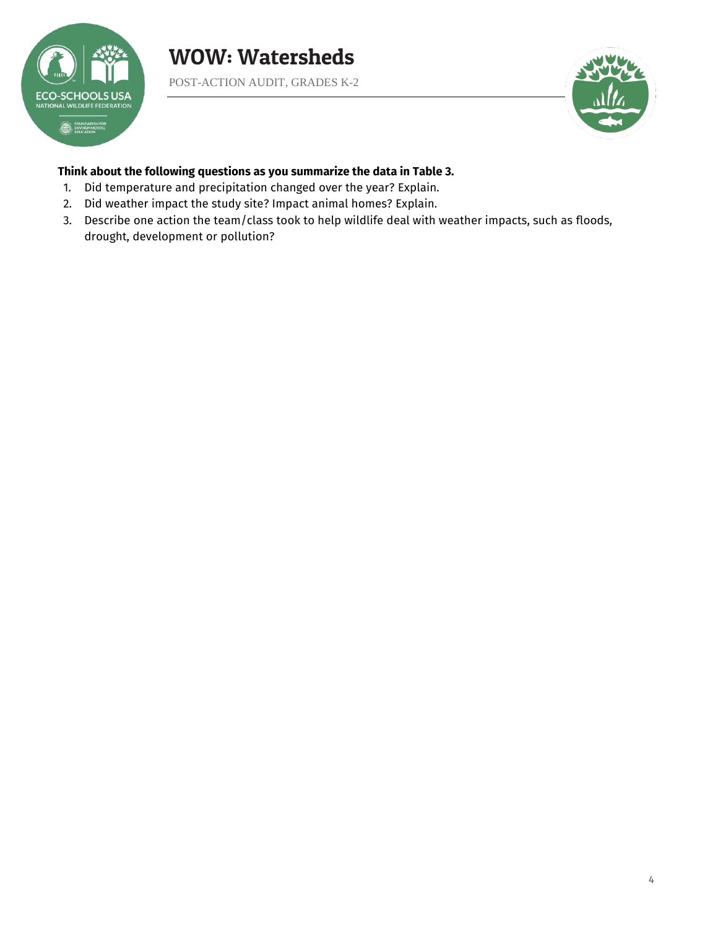

POST-ACTION AUDIT, GRADES K-2



#### **Think about the following questions as you summarize the data in Table 3.**

- 1. Did temperature and precipitation changed over the year? Explain.
- 2. Did weather impact the study site? Impact animal homes? Explain.
- 3. Describe one action the team/class took to help wildlife deal with weather impacts, such as floods, drought, development or pollution?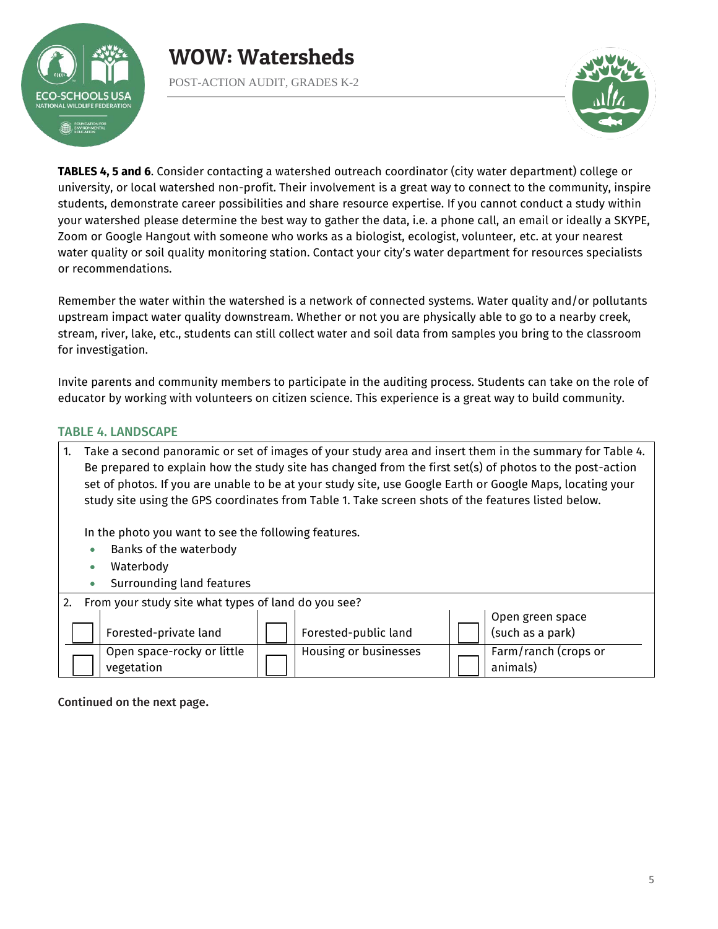

POST-ACTION AUDIT, GRADES K-2



**TABLES 4, 5 and 6**. Consider contacting a watershed outreach coordinator (city water department) college or university, or local watershed non-profit. Their involvement is a great way to connect to the community, inspire students, demonstrate career possibilities and share resource expertise. If you cannot conduct a study within your watershed please determine the best way to gather the data, i.e. a phone call, an email or ideally a SKYPE, Zoom or Google Hangout with someone who works as a biologist, ecologist, volunteer, etc. at your nearest water quality or soil quality monitoring station. Contact your city's water department for resources specialists or recommendations.

Remember the water within the watershed is a network of connected systems. Water quality and/or pollutants upstream impact water quality downstream. Whether or not you are physically able to go to a nearby creek, stream, river, lake, etc., students can still collect water and soil data from samples you bring to the classroom for investigation.

Invite parents and community members to participate in the auditing process. Students can take on the role of educator by working with volunteers on citizen science. This experience is a great way to build community.

#### TABLE 4. LANDSCAPE

| 1. | Take a second panoramic or set of images of your study area and insert them in the summary for Table 4.<br>Be prepared to explain how the study site has changed from the first set(s) of photos to the post-action<br>set of photos. If you are unable to be at your study site, use Google Earth or Google Maps, locating your<br>study site using the GPS coordinates from Table 1. Take screen shots of the features listed below. |  |                       |  |                                      |
|----|----------------------------------------------------------------------------------------------------------------------------------------------------------------------------------------------------------------------------------------------------------------------------------------------------------------------------------------------------------------------------------------------------------------------------------------|--|-----------------------|--|--------------------------------------|
|    | In the photo you want to see the following features.                                                                                                                                                                                                                                                                                                                                                                                   |  |                       |  |                                      |
|    |                                                                                                                                                                                                                                                                                                                                                                                                                                        |  |                       |  |                                      |
|    | Waterbody<br>$\bullet$                                                                                                                                                                                                                                                                                                                                                                                                                 |  |                       |  |                                      |
|    | Surrounding land features                                                                                                                                                                                                                                                                                                                                                                                                              |  |                       |  |                                      |
|    | 2. From your study site what types of land do you see?                                                                                                                                                                                                                                                                                                                                                                                 |  |                       |  |                                      |
|    | Forested-private land                                                                                                                                                                                                                                                                                                                                                                                                                  |  | Forested-public land  |  | Open green space<br>(such as a park) |
|    | Open space-rocky or little                                                                                                                                                                                                                                                                                                                                                                                                             |  | Housing or businesses |  | Farm/ranch (crops or                 |
|    | Banks of the waterbody<br>vegetation                                                                                                                                                                                                                                                                                                                                                                                                   |  |                       |  | animals)                             |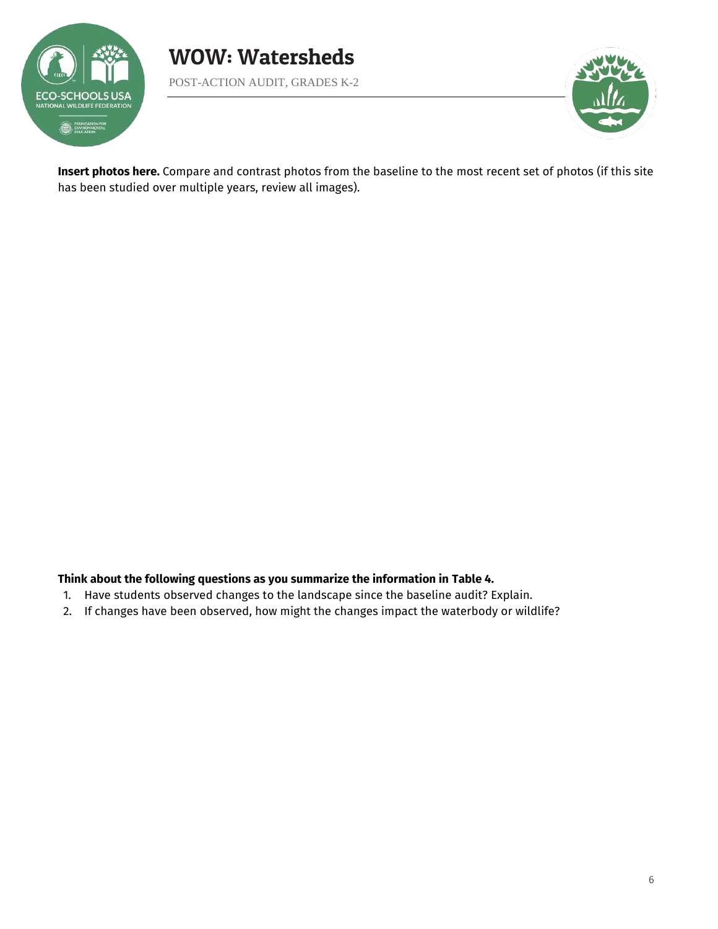



**Insert photos here.** Compare and contrast photos from the baseline to the most recent set of photos (if this site has been studied over multiple years, review all images).

#### **Think about the following questions as you summarize the information in Table 4.**

- 1. Have students observed changes to the landscape since the baseline audit? Explain.
- 2. If changes have been observed, how might the changes impact the waterbody or wildlife?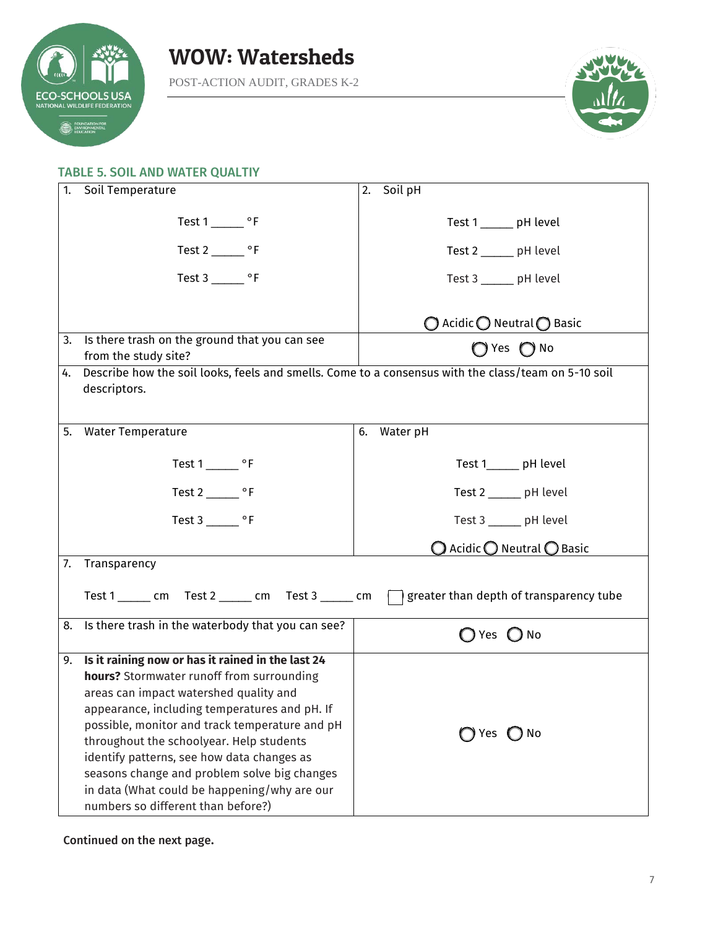



#### TABLE 5. SOIL AND WATER QUALTIY

| 1. | Soil Temperature                                                                                    | Soil pH<br>2.                                         |
|----|-----------------------------------------------------------------------------------------------------|-------------------------------------------------------|
|    |                                                                                                     |                                                       |
|    |                                                                                                     | Test 1 _______ pH level                               |
|    | Test $2 \_\_\_\$ °F                                                                                 | Test 2 ______ pH level                                |
|    | Test $3$ _________ $\circ$ F                                                                        | Test 3 _______ pH level                               |
|    |                                                                                                     |                                                       |
|    |                                                                                                     | $\bigcirc$ Acidic $\bigcirc$ Neutral $\bigcirc$ Basic |
| 3. | Is there trash on the ground that you can see                                                       | $\bigcap$ Yes $\bigcap$ No                            |
|    | from the study site?                                                                                |                                                       |
| 4. | Describe how the soil looks, feels and smells. Come to a consensus with the class/team on 5-10 soil |                                                       |
|    | descriptors.                                                                                        |                                                       |
|    |                                                                                                     |                                                       |
| 5. | <b>Water Temperature</b>                                                                            | Water pH<br>6.                                        |
|    |                                                                                                     |                                                       |
|    | Test $1 \_\_\_$ °F                                                                                  | Test 1______ pH level                                 |
|    | Test 2 _________ $\circ$ F                                                                          | Test 2 _____ pH level                                 |
|    | Test $3 \_$ °F                                                                                      | Test 3 ______ pH level                                |
|    |                                                                                                     | $\bigcirc$ Acidic $\bigcirc$ Neutral $\bigcirc$ Basic |
| 7. | Transparency                                                                                        |                                                       |
|    | Test 1 ______ cm Test 2 ______ cm Test 3 ______ cm $\Box$ greater than depth of transparency tube   |                                                       |
|    | 8. Is there trash in the waterbody that you can see?                                                | $\bigcap$ Yes $\bigcirc$ No                           |
| 9. | Is it raining now or has it rained in the last 24                                                   |                                                       |
|    | hours? Stormwater runoff from surrounding                                                           |                                                       |
|    | areas can impact watershed quality and                                                              |                                                       |
|    | appearance, including temperatures and pH. If                                                       |                                                       |
|    | possible, monitor and track temperature and pH                                                      | $\bigcap$ Yes $\bigcap$ No                            |
|    | throughout the schoolyear. Help students                                                            |                                                       |
|    | identify patterns, see how data changes as                                                          |                                                       |
|    | seasons change and problem solve big changes                                                        |                                                       |
|    | in data (What could be happening/why are our                                                        |                                                       |
|    | numbers so different than before?)                                                                  |                                                       |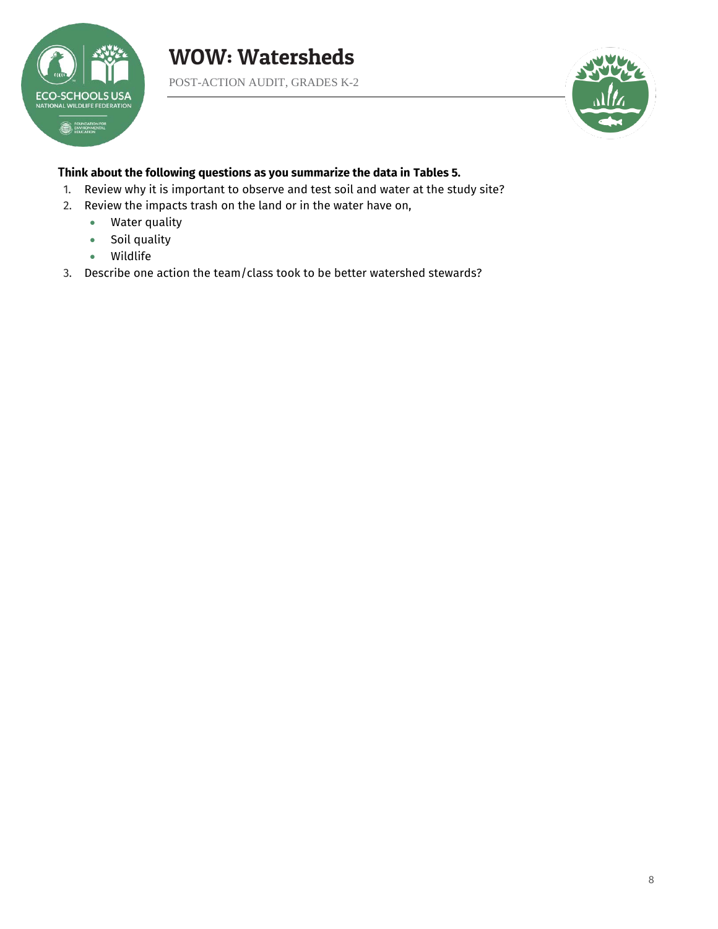

POST-ACTION AUDIT, GRADES K-2



#### T**hink about the following questions as you summarize the data in Tables 5.**

1. Review why it is important to observe and test soil and water at the study site?

- 2. Review the impacts trash on the land or in the water have on,
	- Water quality
	- Soil quality
	- Wildlife
- 3. Describe one action the team/class took to be better watershed stewards?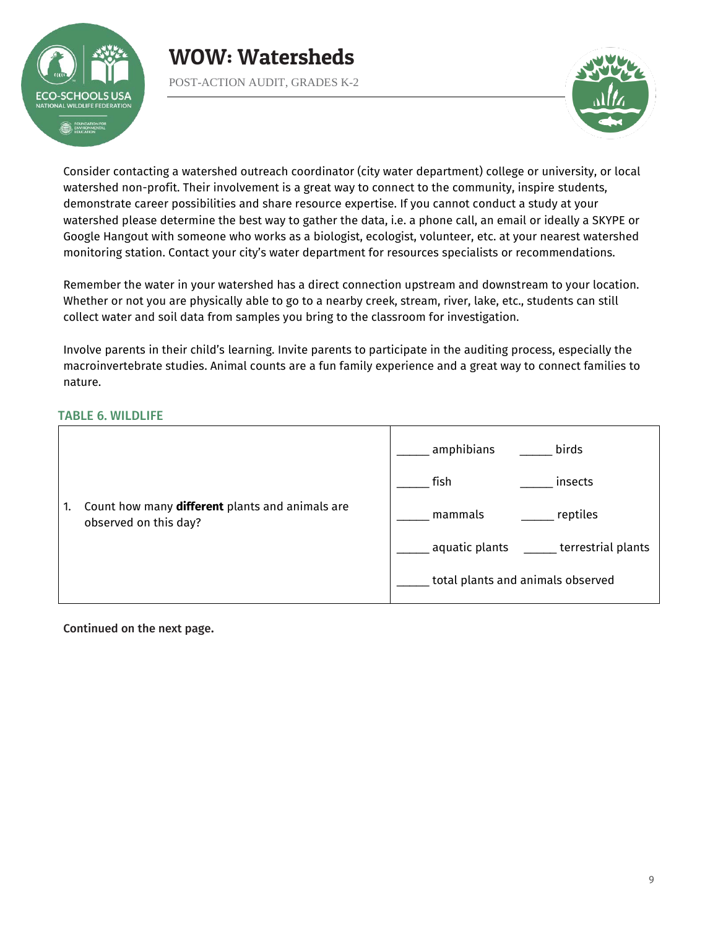

POST-ACTION AUDIT, GRADES K-2



Consider contacting a watershed outreach coordinator (city water department) college or university, or local watershed non-profit. Their involvement is a great way to connect to the community, inspire students, demonstrate career possibilities and share resource expertise. If you cannot conduct a study at your watershed please determine the best way to gather the data, i.e. a phone call, an email or ideally a SKYPE or Google Hangout with someone who works as a biologist, ecologist, volunteer, etc. at your nearest watershed monitoring station. Contact your city's water department for resources specialists or recommendations.

Remember the water in your watershed has a direct connection upstream and downstream to your location. Whether or not you are physically able to go to a nearby creek, stream, river, lake, etc., students can still collect water and soil data from samples you bring to the classroom for investigation.

Involve parents in their child's learning. Invite parents to participate in the auditing process, especially the macroinvertebrate studies. Animal counts are a fun family experience and a great way to connect families to nature.

#### TABLE 6. WILDLIFE

|    |                                                                          | amphibians<br>birds                        |
|----|--------------------------------------------------------------------------|--------------------------------------------|
|    |                                                                          | fish<br>insects                            |
| 1. | Count how many different plants and animals are<br>observed on this day? | reptiles<br>mammals                        |
|    |                                                                          | aquatic plants _____<br>terrestrial plants |
|    |                                                                          | total plants and animals observed          |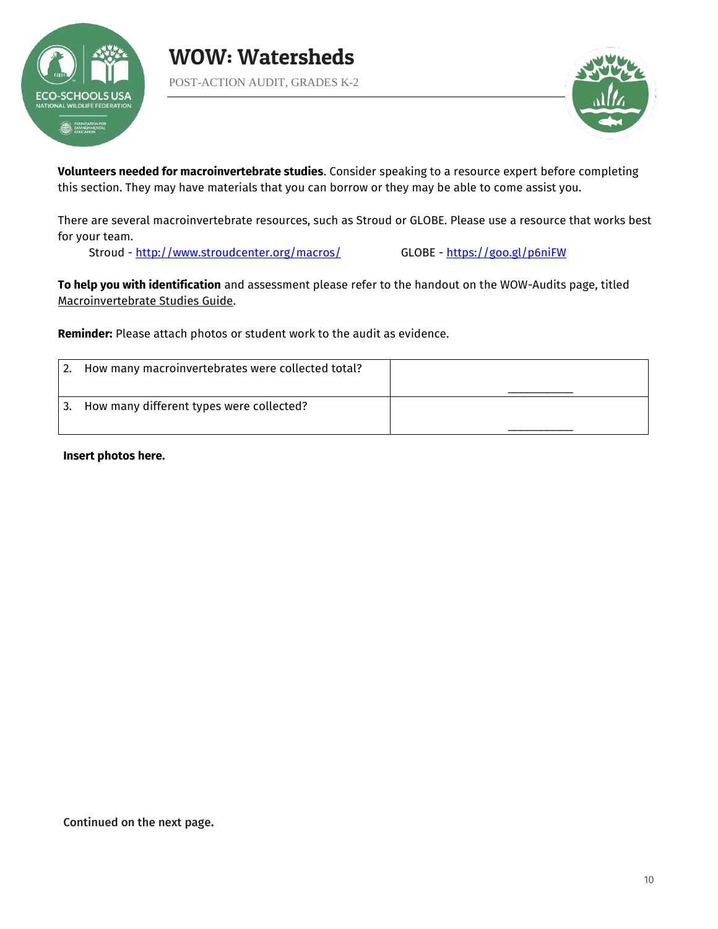



**Volunteers needed for macroinvertebrate studies**. Consider speaking to a resource expert before completing this section. They may have materials that you can borrow or they may be able to come assist you.

There are several macroinvertebrate resources, such as Stroud or GLOBE. Please use a resource that works best for your team.

Stroud -<http://www.stroudcenter.org/macros/>GLOBE -<https://goo.gl/p6niFW>

**To help you with identification** and assessment please refer to the handout on the WOW-Audits page, titled Macroinvertebrate Studies Guide.

**Reminder:** Please attach photos or student work to the audit as evidence.

|    | How many macroinvertebrates were collected total? |  |
|----|---------------------------------------------------|--|
| 3. | How many different types were collected?          |  |

**Insert photos here.**